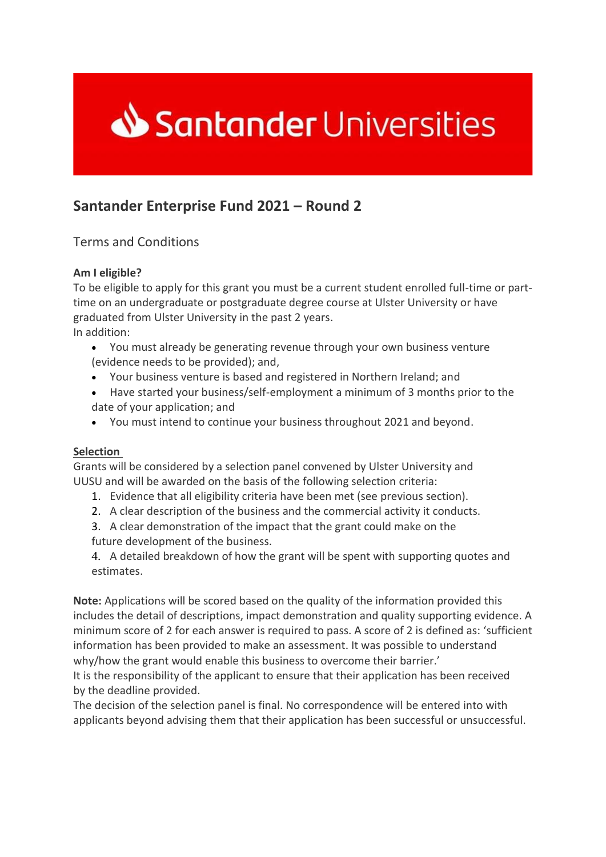

## **Santander Enterprise Fund 2021 – Round 2**

Terms and Conditions

## **Am I eligible?**

To be eligible to apply for this grant you must be a current student enrolled full-time or parttime on an undergraduate or postgraduate degree course at Ulster University or have graduated from Ulster University in the past 2 years. In addition:

- You must already be generating revenue through your own business venture (evidence needs to be provided); and,
- Your business venture is based and registered in Northern Ireland; and
- Have started your business/self-employment a minimum of 3 months prior to the date of your application; and
- You must intend to continue your business throughout 2021 and beyond.

## **Selection**

Grants will be considered by a selection panel convened by Ulster University and UUSU and will be awarded on the basis of the following selection criteria:

- 1. Evidence that all eligibility criteria have been met (see previous section).
- 2. A clear description of the business and the commercial activity it conducts.
- 3. A clear demonstration of the impact that the grant could make on the future development of the business.

4. A detailed breakdown of how the grant will be spent with supporting quotes and estimates.

**Note:** Applications will be scored based on the quality of the information provided this includes the detail of descriptions, impact demonstration and quality supporting evidence. A minimum score of 2 for each answer is required to pass. A score of 2 is defined as: 'sufficient information has been provided to make an assessment. It was possible to understand why/how the grant would enable this business to overcome their barrier.'

It is the responsibility of the applicant to ensure that their application has been received by the deadline provided.

The decision of the selection panel is final. No correspondence will be entered into with applicants beyond advising them that their application has been successful or unsuccessful.